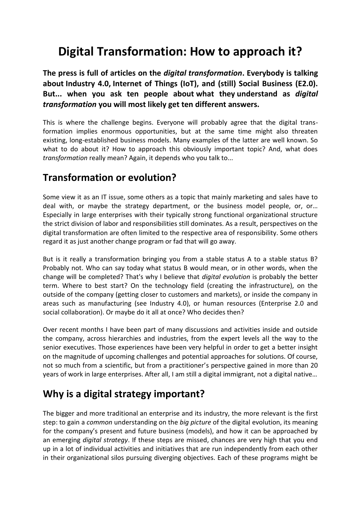# **Digital Transformation: How to approach it?**

**The press is full of articles on the** *digital transformation***. Everybody is talking about Industry 4.0, Internet of Things (IoT), and (still) Social Business (E2.0). But... when you ask ten people about what they understand as** *digital transformation* **you will most likely get ten different answers.**

This is where the challenge begins. Everyone will probably agree that the digital transformation implies enormous opportunities, but at the same time might also threaten existing, long-established business models. Many examples of the latter are well known. So what to do about it? How to approach this obviously important topic? And, what does *transformation* really mean? Again, it depends who you talk to...

### **Transformation or evolution?**

Some view it as an IT issue, some others as a topic that mainly marketing and sales have to deal with, or maybe the strategy department, or the business model people, or, or… Especially in large enterprises with their typically strong functional organizational structure the strict division of labor and responsibilities still dominates. As a result, perspectives on the digital transformation are often limited to the respective area of responsibility. Some others regard it as just another change program or fad that will go away.

But is it really a transformation bringing you from a stable status A to a stable status B? Probably not. Who can say today what status B would mean, or in other words, when the change will be completed? That's why I believe that *digital evolution* is probably the better term. Where to best start? On the technology field (creating the infrastructure), on the outside of the company (getting closer to customers and markets), or inside the company in areas such as manufacturing (see Industry 4.0), or human resources (Enterprise 2.0 and social collaboration). Or maybe do it all at once? Who decides then?

Over recent months I have been part of many discussions and activities inside and outside the company, across hierarchies and industries, from the expert levels all the way to the senior executives. Those experiences have been very helpful in order to get a better insight on the magnitude of upcoming challenges and potential approaches for solutions. Of course, not so much from a scientific, but from a practitioner's perspective gained in more than 20 years of work in large enterprises. After all, I am still a digital immigrant, not a digital native…

# **Why is a digital strategy important?**

The bigger and more traditional an enterprise and its industry, the more relevant is the first step: to gain a *common* understanding on the *big picture* of the digital evolution, its meaning for the company's present and future business (models), and how it can be approached by an emerging *digital strategy*. If these steps are missed, chances are very high that you end up in a lot of individual activities and initiatives that are run independently from each other in their organizational silos pursuing diverging objectives. Each of these programs might be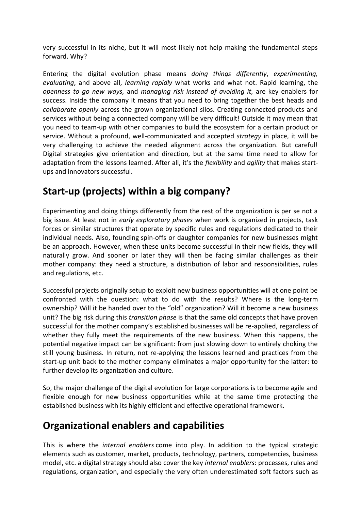very successful in its niche, but it will most likely not help making the fundamental steps forward. Why?

Entering the digital evolution phase means *doing things differently*, *experimenting, evaluating*, and above all, *learning rapidly* what works and what not. Rapid learning, the *openness to go new ways,* and *managing risk instead of avoiding it,* are key enablers for success. Inside the company it means that you need to bring together the best heads and *collaborate openly* across the grown organizational silos. Creating connected products and services without being a connected company will be very difficult! Outside it may mean that you need to team-up with other companies to build the ecosystem for a certain product or service. Without a profound, well-communicated and accepted *strategy* in place, it will be very challenging to achieve the needed alignment across the organization. But careful! Digital strategies give orientation and direction, but at the same time need to allow for adaptation from the lessons learned. After all, it's the *flexibility* and *agility* that makes startups and innovators successful.

# **Start-up (projects) within a big company?**

Experimenting and doing things differently from the rest of the organization is per se not a big issue. At least not in *early exploratory phases* when work is organized in projects, task forces or similar structures that operate by specific rules and regulations dedicated to their individual needs. Also, founding spin-offs or daughter companies for new businesses might be an approach. However, when these units become successful in their new fields, they will naturally grow. And sooner or later they will then be facing similar challenges as their mother company: they need a structure, a distribution of labor and responsibilities, rules and regulations, etc.

Successful projects originally setup to exploit new business opportunities will at one point be confronted with the question: what to do with the results? Where is the long-term ownership? Will it be handed over to the "old" organization? Will it become a new business unit? The big risk during this *transition phase* is that the same old concepts that have proven successful for the mother company's established businesses will be re-applied, regardless of whether they fully meet the requirements of the new business. When this happens, the potential negative impact can be significant: from just slowing down to entirely choking the still young business. In return, not re-applying the lessons learned and practices from the start-up unit back to the mother company eliminates a major opportunity for the latter: to further develop its organization and culture.

So, the major challenge of the digital evolution for large corporations is to become agile and flexible enough for new business opportunities while at the same time protecting the established business with its highly efficient and effective operational framework.

# **Organizational enablers and capabilities**

This is where the *internal enablers* come into play. In addition to the typical strategic elements such as customer, market, products, technology, partners, competencies, business model, etc. a digital strategy should also cover the key *internal enablers*: processes, rules and regulations, organization, and especially the very often underestimated soft factors such as